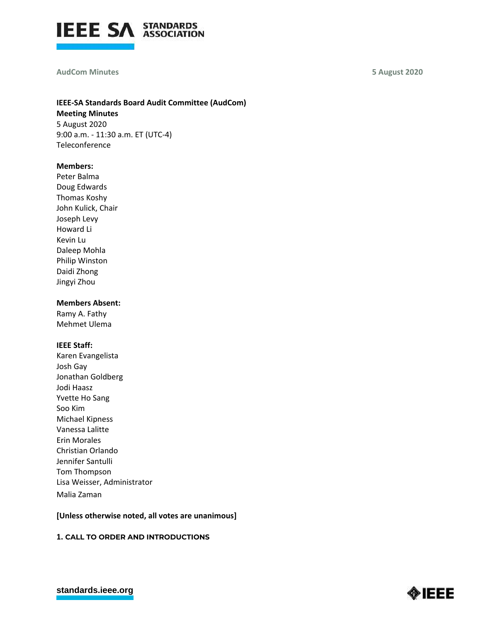

#### **AudCom Minutes 5 August 2020**

### **IEEE-SA Standards Board Audit Committee (AudCom)**

**Meeting Minutes** 5 August 2020 9:00 a.m. - 11:30 a.m. ET (UTC-4) Teleconference

### **Members:**

Peter Balma Doug Edwards Thomas Koshy John Kulick, Chair Joseph Levy Howard Li Kevin Lu Daleep Mohla Philip Winston Daidi Zhong Jingyi Zhou

### **Members Absent:**

Ramy A. Fathy Mehmet Ulema

### **IEEE Staff:**

Karen Evangelista Josh Gay Jonathan Goldberg Jodi Haasz Yvette Ho Sang Soo Kim Michael Kipness Vanessa Lalitte Erin Morales Christian Orlando Jennifer Santulli Tom Thompson Lisa Weisser, Administrator Malia Zaman

### **[Unless otherwise noted, all votes are unanimous]**

### **1. CALL TO ORDER AND INTRODUCTIONS**

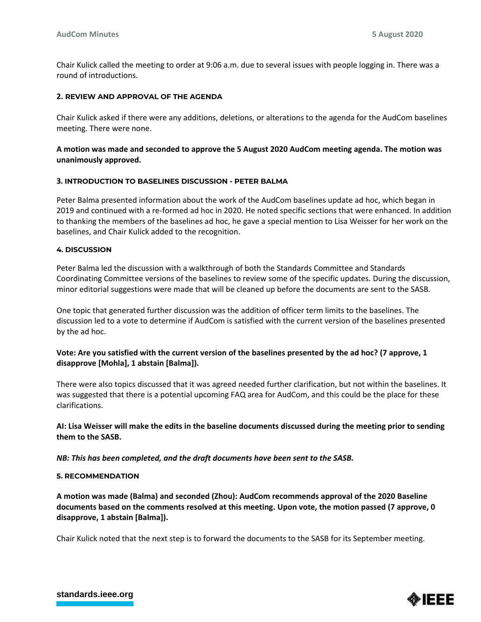Chair Kulick called the meeting to order at 9:06 a.m. due to several issues with people logging in. There was a round of introductions.

### **2. REVIEW AND APPROVAL OF THE AGENDA**

Chair Kulick asked if there were any additions, deletions, or alterations to the agenda for the AudCom baselines meeting. There were none.

## **A motion was made and seconded to approve the 5 August 2020 AudCom meeting agenda. The motion was unanimously approved.**

### **3. INTRODUCTION TO BASELINES DISCUSSION - PETER BALMA**

Peter Balma presented information about the work of the AudCom baselines update ad hoc, which began in 2019 and continued with a re-formed ad hoc in 2020. He noted specific sections that were enhanced. In addition to thanking the members of the baselines ad hoc, he gave a special mention to Lisa Weisser for her work on the baselines, and Chair Kulick added to the recognition.

### **4. DISCUSSION**

Peter Balma led the discussion with a walkthrough of both the Standards Committee and Standards Coordinating Committee versions of the baselines to review some of the specific updates. During the discussion, minor editorial suggestions were made that will be cleaned up before the documents are sent to the SASB.

One topic that generated further discussion was the addition of officer term limits to the baselines. The discussion led to a vote to determine if AudCom is satisfied with the current version of the baselines presented by the ad hoc.

# **Vote: Are you satisfied with the current version of the baselines presented by the ad hoc? (7 approve, 1 disapprove [Mohla], 1 abstain [Balma]).**

There were also topics discussed that it was agreed needed further clarification, but not within the baselines. It was suggested that there is a potential upcoming FAQ area for AudCom, and this could be the place for these clarifications.

**AI: Lisa Weisser will make the edits in the baseline documents discussed during the meeting prior to sending them to the SASB.** 

*NB: This has been completed, and the draft documents have been sent to the SASB.*

### **5. RECOMMENDATION**

**A motion was made (Balma) and seconded (Zhou): AudCom recommends approval of the 2020 Baseline documents based on the comments resolved at this meeting. Upon vote, the motion passed (7 approve, 0 disapprove, 1 abstain [Balma]).**

Chair Kulick noted that the next step is to forward the documents to the SASB for its September meeting.